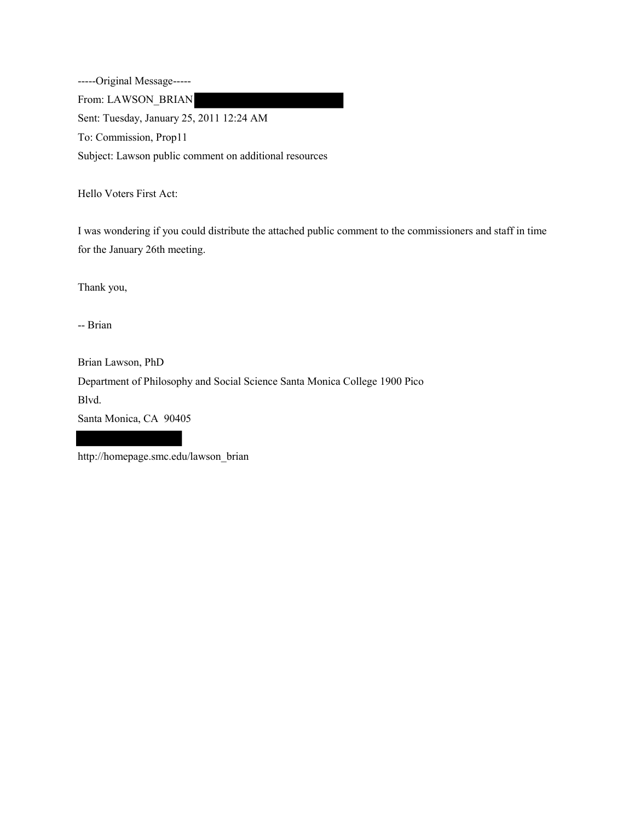-----Original Message----- From: LAWSON\_BRIAN Sent: Tuesday, January 25, 2011 12:24 AM To: Commission, Prop11 Subject: Lawson public comment on additional resources

Hello Voters First Act:

I was wondering if you could distribute the attached public comment to the commissioners and staff in time for the January 26th meeting.

Thank you,

-- Brian

Brian Lawson, PhD Department of Philosophy and Social Science Santa Monica College 1900 Pico Blvd. Santa Monica, CA 90405

http://homepage.smc.edu/lawson\_brian